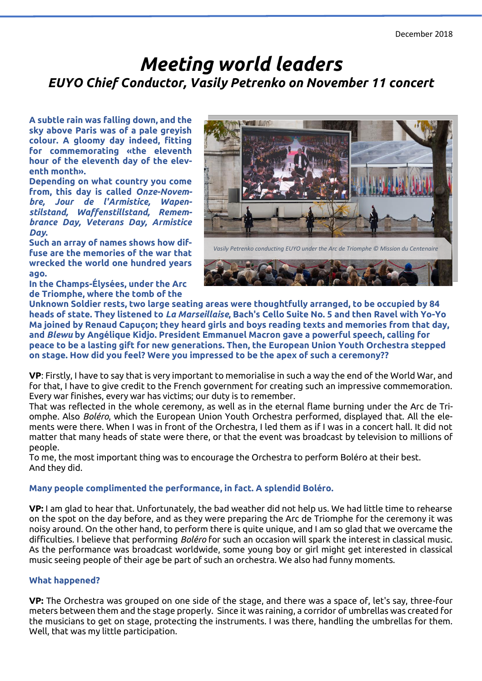# *Meeting world leaders EUYO Chief Conductor, Vasily Petrenko on November 11 concert*

**A subtle rain was falling down, and the sky above Paris was of a pale greyish colour. A gloomy day indeed, fitting for commemorating «the eleventh hour of the eleventh day of the eleventh month».**

**Depending on what country you come from, this day is called** *Onze-Novembre, Jour de l'Armistice, Wapenstilstand, Waffenstillstand, Remembrance Day, Veterans Day, Armistice Day***.**

**Such an array of names shows how diffuse are the memories of the war that wrecked the world one hundred years ago.**

**In the Champs-Élysées, under the Arc de Triomphe, where the tomb of the** 



**Unknown Soldier rests, two large seating areas were thoughtfully arranged, to be occupied by 84 heads of state. They listened to** *La Marseillaise***, Bach's Cello Suite No. 5 and then Ravel with Yo-Yo Ma joined by Renaud Capuçon; they heard girls and boys reading texts and memories from that day, and** *Blewu* **by Angélique Kidjo. President Emmanuel Macron gave a powerful speech, calling for peace to be a lasting gift for new generations. Then, the European Union Youth Orchestra stepped on stage. How did you feel? Were you impressed to be the apex of such a ceremony??**

**VP**: Firstly, I have to say that is very important to memorialise in such a way the end of the World War, and for that, I have to give credit to the French government for creating such an impressive commemoration. Every war finishes, every war has victims; our duty is to remember.

That was reflected in the whole ceremony, as well as in the eternal flame burning under the Arc de Triomphe. Also *Boléro*, which the European Union Youth Orchestra performed, displayed that. All the elements were there. When I was in front of the Orchestra, I led them as if I was in a concert hall. It did not matter that many heads of state were there, or that the event was broadcast by television to millions of people.

To me, the most important thing was to encourage the Orchestra to perform Boléro at their best. And they did.

# **Many people complimented the performance, in fact. A splendid Boléro.**

**VP:** I am glad to hear that. Unfortunately, the bad weather did not help us. We had little time to rehearse on the spot on the day before, and as they were preparing the Arc de Triomphe for the ceremony it was noisy around. On the other hand, to perform there is quite unique, and I am so glad that we overcame the difficulties. I believe that performing *Boléro* for such an occasion will spark the interest in classical music. As the performance was broadcast worldwide, some young boy or girl might get interested in classical music seeing people of their age be part of such an orchestra. We also had funny moments.

# **What happened?**

**VP:** The Orchestra was grouped on one side of the stage, and there was a space of, let's say, three-four meters between them and the stage properly. Since it was raining, a corridor of umbrellas was created for the musicians to get on stage, protecting the instruments. I was there, handling the umbrellas for them. Well, that was my little participation.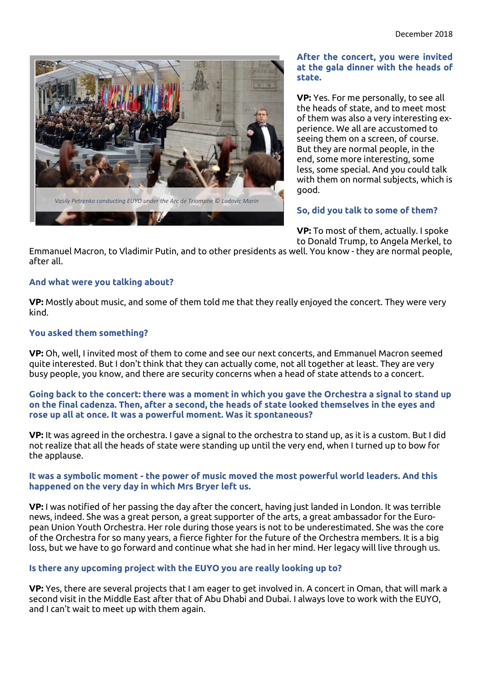

### **After the concert, you were invited at the gala dinner with the heads of state.**

**VP:** Yes. For me personally, to see all the heads of state, and to meet most of them was also a very interesting experience. We all are accustomed to seeing them on a screen, of course. But they are normal people, in the end, some more interesting, some less, some special. And you could talk with them on normal subjects, which is good.

# **So, did you talk to some of them?**

**VP:** To most of them, actually. I spoke to Donald Trump, to Angela Merkel, to

Emmanuel Macron, to Vladimir Putin, and to other presidents as well. You know - they are normal people, after all.

### **And what were you talking about?**

**VP:** Mostly about music, and some of them told me that they really enjoyed the concert. They were very kind.

# **You asked them something?**

**VP:** Oh, well, I invited most of them to come and see our next concerts, and Emmanuel Macron seemed quite interested. But I don't think that they can actually come, not all together at least. They are very busy people, you know, and there are security concerns when a head of state attends to a concert.

#### **Going back to the concert: there was a moment in which you gave the Orchestra a signal to stand up on the final cadenza. Then, after a second, the heads of state looked themselves in the eyes and rose up all at once. It was a powerful moment. Was it spontaneous?**

**VP:** It was agreed in the orchestra. I gave a signal to the orchestra to stand up, as it is a custom. But I did not realize that all the heads of state were standing up until the very end, when I turned up to bow for the applause.

#### **It was a symbolic moment - the power of music moved the most powerful world leaders. And this happened on the very day in which Mrs Bryer left us.**

**VP:** I was notified of her passing the day after the concert, having just landed in London. It was terrible news, indeed. She was a great person, a great supporter of the arts, a great ambassador for the European Union Youth Orchestra. Her role during those years is not to be underestimated. She was the core of the Orchestra for so many years, a fierce fighter for the future of the Orchestra members. It is a big loss, but we have to go forward and continue what she had in her mind. Her legacy will live through us.

#### **Is there any upcoming project with the EUYO you are really looking up to?**

**VP:** Yes, there are several projects that I am eager to get involved in. A concert in Oman, that will mark a second visit in the Middle East after that of Abu Dhabi and Dubai. I always love to work with the EUYO, and I can't wait to meet up with them again.